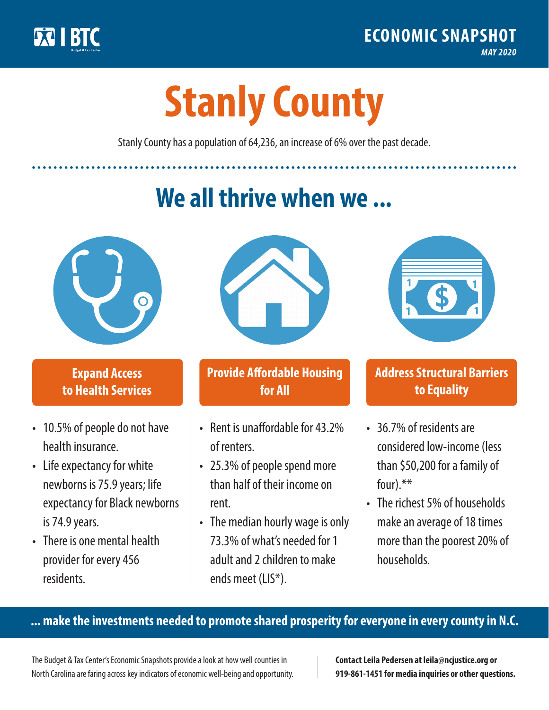

**1**

# **Stanly County**

Stanly County has a population of 64,236, an increase of 6% over the past decade.

# **We all thrive when we ...**



**\$ <sup>1</sup>**

**\$ <sup>1</sup>**

### **Expand Access to Health Services**

- 10.5% of people do not have health insurance.
- Life expectancy for white newborns is 75.9 years; life expectancy for Black newborns is 74.9 years.
- There is one mental health provider for every 456 residents.



## **Provide Affordable Housing for All**

- Rent is unaffordable for 43 2% of renters.
- 25.3% of people spend more than half of their income on rent.
- The median hourly wage is only 73.3% of what's needed for 1 adult and 2 children to make ends meet (LIS\*).



### **Address Structural Barriers to Equality**

- 36.7% of residents are considered low-income (less than \$50,200 for a family of four).\*\*
- The richest 5% of households make an average of 18 times more than the poorest 20% of households.

#### **... make the investments needed to promote shared prosperity for everyone in every county in N.C.**

The Budget & Tax Center's Economic Snapshots provide a look at how well counties in North Carolina are faring across key indicators of economic well-being and opportunity.